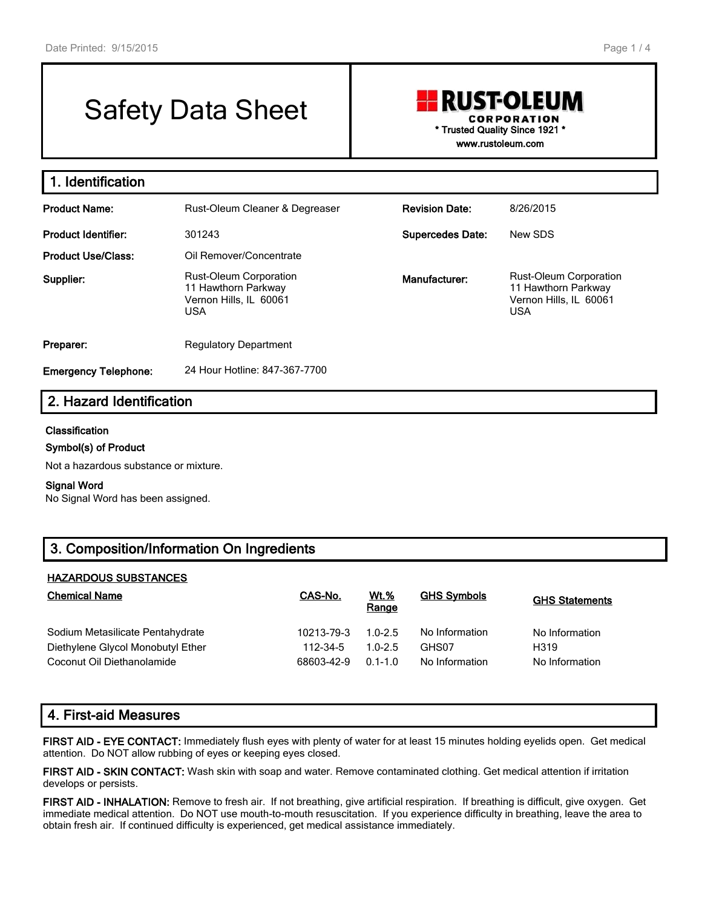# Safety Data Sheet

## **RUST-OLEUM CORPORATION \* Trusted Quality Since 1921 \* www.rustoleum.com**

**1. Identification Product Name:** Rust-Oleum Cleaner & Degreaser **Revision Date:** 8/26/2015 **Product Identifier:** 301243 **Supercedes Date:** New SDS **Product Use/Class:** Oil Remover/Concentrate **Supplier:** Rust-Oleum Corporation 11 Hawthorn Parkway Vernon Hills, IL 60061 USA **Manufacturer:** Rust-Oleum Corporation 11 Hawthorn Parkway Vernon Hills, IL 60061 USA **Preparer:** Regulatory Department **Emergency Telephone:** 24 Hour Hotline: 847-367-7700

# **2. Hazard Identification**

## **Classification**

## **Symbol(s) of Product**

Not a hazardous substance or mixture.

#### **Signal Word**

No Signal Word has been assigned.

# **3. Composition/Information On Ingredients**

#### **HAZARDOUS SUBSTANCES**

| <b>Chemical Name</b>              | CAS-No.    | <b>Wt.%</b><br>Range | <b>GHS Symbols</b> | <b>GHS Statements</b> |
|-----------------------------------|------------|----------------------|--------------------|-----------------------|
| Sodium Metasilicate Pentahydrate  | 10213-79-3 | $1.0 - 2.5$          | No Information     | No Information        |
| Diethylene Glycol Monobutyl Ether | 112-34-5   | $1.0 - 2.5$          | GHS07              | H319                  |
| Coconut Oil Diethanolamide        | 68603-42-9 | $0.1 - 1.0$          | No Information     | No Information        |

# **4. First-aid Measures**

**FIRST AID - EYE CONTACT:** Immediately flush eyes with plenty of water for at least 15 minutes holding eyelids open. Get medical attention. Do NOT allow rubbing of eyes or keeping eyes closed.

**FIRST AID - SKIN CONTACT:** Wash skin with soap and water. Remove contaminated clothing. Get medical attention if irritation develops or persists.

**FIRST AID - INHALATION:** Remove to fresh air. If not breathing, give artificial respiration. If breathing is difficult, give oxygen. Get immediate medical attention. Do NOT use mouth-to-mouth resuscitation. If you experience difficulty in breathing, leave the area to obtain fresh air. If continued difficulty is experienced, get medical assistance immediately.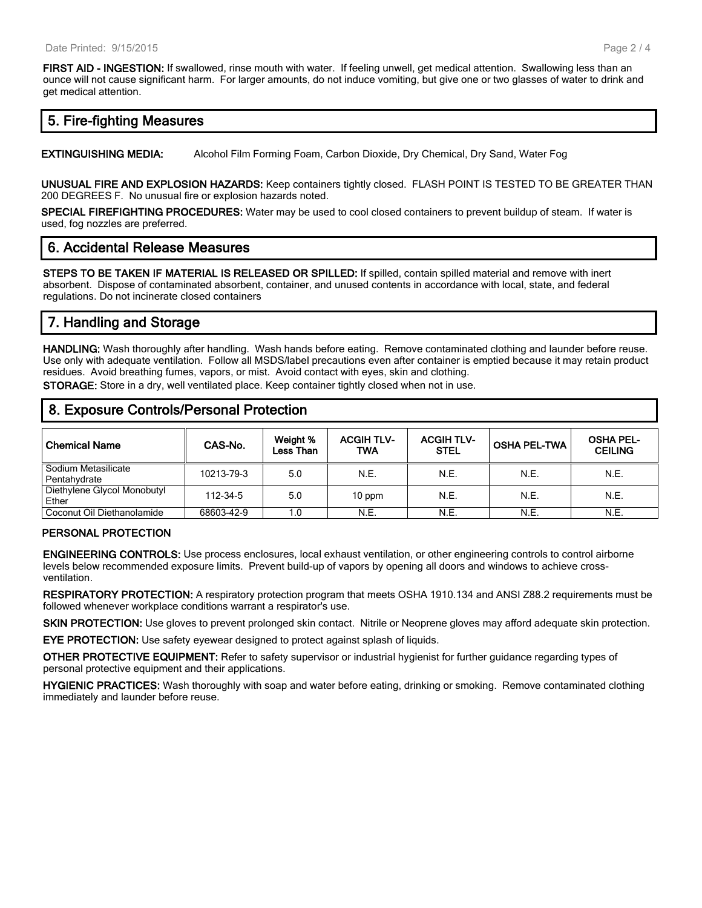**FIRST AID - INGESTION:** If swallowed, rinse mouth with water. If feeling unwell, get medical attention. Swallowing less than an ounce will not cause significant harm. For larger amounts, do not induce vomiting, but give one or two glasses of water to drink and get medical attention.

## **5. Fire-fighting Measures**

**EXTINGUISHING MEDIA:** Alcohol Film Forming Foam, Carbon Dioxide, Dry Chemical, Dry Sand, Water Fog

**UNUSUAL FIRE AND EXPLOSION HAZARDS:** Keep containers tightly closed. FLASH POINT IS TESTED TO BE GREATER THAN 200 DEGREES F. No unusual fire or explosion hazards noted.

**SPECIAL FIREFIGHTING PROCEDURES:** Water may be used to cool closed containers to prevent buildup of steam. If water is used, fog nozzles are preferred.

## **6. Accidental Release Measures**

**STEPS TO BE TAKEN IF MATERIAL IS RELEASED OR SPILLED:** If spilled, contain spilled material and remove with inert absorbent. Dispose of contaminated absorbent, container, and unused contents in accordance with local, state, and federal regulations. Do not incinerate closed containers

# **7. Handling and Storage**

**HANDLING:** Wash thoroughly after handling. Wash hands before eating. Remove contaminated clothing and launder before reuse. Use only with adequate ventilation. Follow all MSDS/label precautions even after container is emptied because it may retain product residues. Avoid breathing fumes, vapors, or mist. Avoid contact with eyes, skin and clothing.

**STORAGE:** Store in a dry, well ventilated place. Keep container tightly closed when not in use.

## **8. Exposure Controls/Personal Protection**

| <b>Chemical Name</b>                    | CAS-No.    | Weight %<br>Less Than | <b>ACGIH TLV-</b><br>TWA | <b>ACGIH TLV-</b><br><b>STEL</b> | <b>OSHA PEL-TWA</b> | <b>OSHA PEL-</b><br><b>CEILING</b> |
|-----------------------------------------|------------|-----------------------|--------------------------|----------------------------------|---------------------|------------------------------------|
| Sodium Metasilicate<br>Pentahydrate     | 10213-79-3 | 5.0                   | N.E.                     | N.E.                             | N.E.                | N.E.                               |
| Diethylene Glycol Monobutyl<br>Ether    | 112-34-5   | 5.0                   | $10$ ppm                 | N.E.                             | N.E.                | N.E.                               |
| <sup>1</sup> Coconut Oil Diethanolamide | 68603-42-9 | 1.0                   | N.E.                     | N.E.                             | N.E.                | N.E.                               |

## **PERSONAL PROTECTION**

**ENGINEERING CONTROLS:** Use process enclosures, local exhaust ventilation, or other engineering controls to control airborne levels below recommended exposure limits. Prevent build-up of vapors by opening all doors and windows to achieve crossventilation.

**RESPIRATORY PROTECTION:** A respiratory protection program that meets OSHA 1910.134 and ANSI Z88.2 requirements must be followed whenever workplace conditions warrant a respirator's use.

**SKIN PROTECTION:** Use gloves to prevent prolonged skin contact. Nitrile or Neoprene gloves may afford adequate skin protection.

**EYE PROTECTION:** Use safety eyewear designed to protect against splash of liquids.

**OTHER PROTECTIVE EQUIPMENT:** Refer to safety supervisor or industrial hygienist for further guidance regarding types of personal protective equipment and their applications.

**HYGIENIC PRACTICES:** Wash thoroughly with soap and water before eating, drinking or smoking. Remove contaminated clothing immediately and launder before reuse.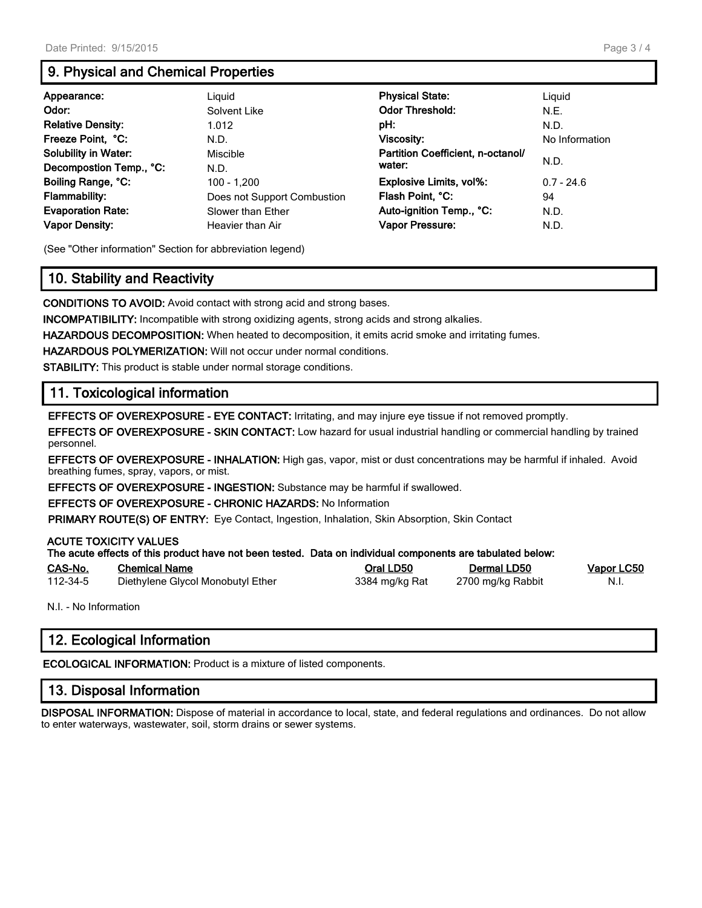# **9. Physical and Chemical Properties**

| Appearance:                 | Liguid                      | <b>Physical State:</b>            | Liguid         |  |
|-----------------------------|-----------------------------|-----------------------------------|----------------|--|
| Odor:                       | Solvent Like                | <b>Odor Threshold:</b>            | N.E.           |  |
| <b>Relative Density:</b>    | 1.012                       | pH:                               | N.D.           |  |
| Freeze Point, °C:           | N.D.                        | <b>Viscosity:</b>                 | No Information |  |
| <b>Solubility in Water:</b> | Miscible                    | Partition Coefficient, n-octanol/ |                |  |
| Decompostion Temp., °C:     | N.D.                        | water:                            | N.D.           |  |
| Boiling Range, °C:          | 100 - 1.200                 | Explosive Limits, vol%:           | $0.7 - 24.6$   |  |
| <b>Flammability:</b>        | Does not Support Combustion | Flash Point, °C:                  | 94             |  |
| <b>Evaporation Rate:</b>    | Slower than Ether           | Auto-ignition Temp., °C:          | N.D.           |  |
| <b>Vapor Density:</b>       | Heavier than Air            | Vapor Pressure:                   | N.D.           |  |

(See "Other information" Section for abbreviation legend)

# **10. Stability and Reactivity**

**CONDITIONS TO AVOID:** Avoid contact with strong acid and strong bases.

**INCOMPATIBILITY:** Incompatible with strong oxidizing agents, strong acids and strong alkalies.

**HAZARDOUS DECOMPOSITION:** When heated to decomposition, it emits acrid smoke and irritating fumes.

**HAZARDOUS POLYMERIZATION:** Will not occur under normal conditions.

**STABILITY:** This product is stable under normal storage conditions.

# **11. Toxicological information**

**EFFECTS OF OVEREXPOSURE - EYE CONTACT:** Irritating, and may injure eye tissue if not removed promptly.

**EFFECTS OF OVEREXPOSURE - SKIN CONTACT:** Low hazard for usual industrial handling or commercial handling by trained personnel.

**EFFECTS OF OVEREXPOSURE - INHALATION:** High gas, vapor, mist or dust concentrations may be harmful if inhaled. Avoid breathing fumes, spray, vapors, or mist.

**EFFECTS OF OVEREXPOSURE - INGESTION:** Substance may be harmful if swallowed.

**EFFECTS OF OVEREXPOSURE - CHRONIC HAZARDS:** No Information

**PRIMARY ROUTE(S) OF ENTRY:** Eye Contact, Ingestion, Inhalation, Skin Absorption, Skin Contact

## **ACUTE TOXICITY VALUES**

|          | The acute effects of this product have not been tested. Data on individual components are tabulated below: |                |                   |            |
|----------|------------------------------------------------------------------------------------------------------------|----------------|-------------------|------------|
| CAS-No.  | <b>Chemical Name</b>                                                                                       | Oral LD50      | Dermal LD50       | Vapor LC50 |
| 112-34-5 | Diethylene Glycol Monobutyl Ether                                                                          | 3384 mg/kg Rat | 2700 mg/kg Rabbit | - N.I.     |

N.I. - No Information

# **12. Ecological Information**

**ECOLOGICAL INFORMATION:** Product is a mixture of listed components.

## **13. Disposal Information**

**DISPOSAL INFORMATION:** Dispose of material in accordance to local, state, and federal regulations and ordinances. Do not allow to enter waterways, wastewater, soil, storm drains or sewer systems.